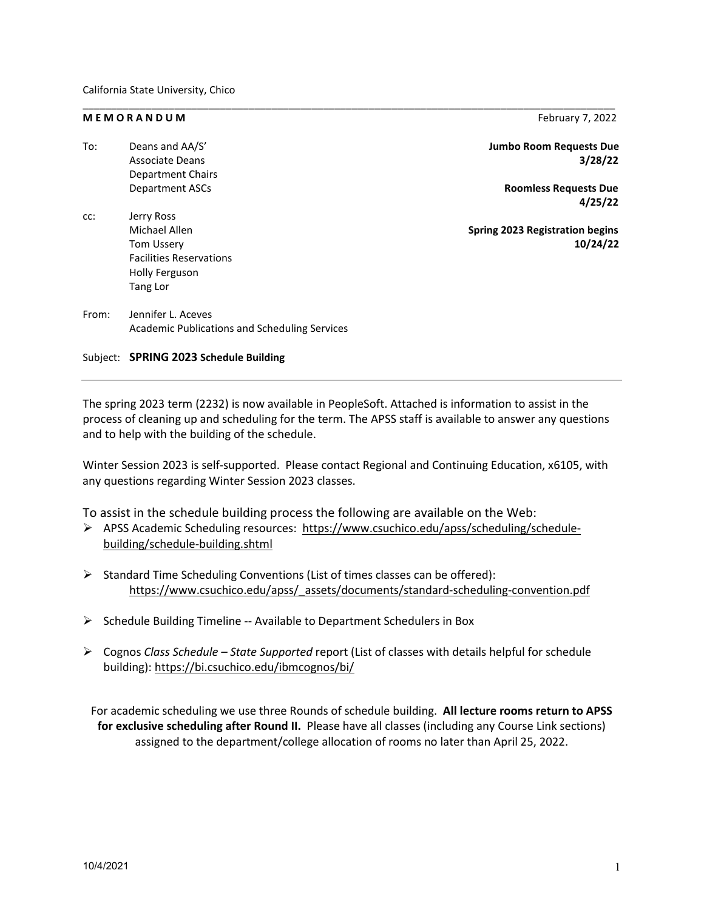### **M E M O R A N D U M M** February 7, 2022

| To:   | Deans and AA/S'                               | <b>Jumbo Room Requests Due</b>         |
|-------|-----------------------------------------------|----------------------------------------|
|       | <b>Associate Deans</b>                        | 3/28/22                                |
|       | <b>Department Chairs</b>                      |                                        |
|       | <b>Department ASCs</b>                        | <b>Roomless Requests Due</b>           |
|       |                                               | 4/25/22                                |
| cc:   | Jerry Ross                                    |                                        |
|       | Michael Allen                                 | <b>Spring 2023 Registration begins</b> |
|       | <b>Tom Ussery</b>                             | 10/24/22                               |
|       | <b>Facilities Reservations</b>                |                                        |
|       | Holly Ferguson                                |                                        |
|       | Tang Lor                                      |                                        |
| From: | Jennifer L. Aceves                            |                                        |
|       | Academic Publications and Scheduling Services |                                        |
|       |                                               |                                        |

\_\_\_\_\_\_\_\_\_\_\_\_\_\_\_\_\_\_\_\_\_\_\_\_\_\_\_\_\_\_\_\_\_\_\_\_\_\_\_\_\_\_\_\_\_\_\_\_\_\_\_\_\_\_\_\_\_\_\_\_\_\_\_\_\_\_\_\_\_\_\_\_\_\_\_\_\_\_\_\_\_\_\_\_\_\_\_\_\_\_\_\_\_

# Subject: **SPRING 2023 Schedule Building**

The spring 2023 term (2232) is now available in PeopleSoft. Attached is information to assist in the process of cleaning up and scheduling for the term. The APSS staff is available to answer any questions and to help with the building of the schedule.

Winter Session 2023 is self-supported. Please contact Regional and Continuing Education, x6105, with any questions regarding Winter Session 2023 classes.

To assist in the schedule building process the following are available on the Web:

- APSS Academic Scheduling resources: [https://www.csuchico.edu/apss/scheduling/schedule](https://www.csuchico.edu/apss/scheduling/schedule-building/schedule-building.shtml)[building/schedule-building.shtml](https://www.csuchico.edu/apss/scheduling/schedule-building/schedule-building.shtml)
- $\triangleright$  Standard Time Scheduling Conventions (List of times classes can be offered): [https://www.csuchico.edu/apss/\\_assets/documents/standard-scheduling-convention.pdf](https://www.csuchico.edu/apss/_assets/documents/standard-scheduling-convention.pdf)
- $\triangleright$  Schedule Building Timeline -- Available to Department Schedulers in Box
- Cognos *Class Schedule – State Supported* report (List of classes with details helpful for schedule building)[: https://bi.csuchico.edu/ibmcognos/bi/](https://bi.csuchico.edu/ibmcognos/bi/)

For academic scheduling we use three Rounds of schedule building. **All lecture rooms return to APSS for exclusive scheduling after Round II.** Please have all classes (including any Course Link sections) assigned to the department/college allocation of rooms no later than April 25, 2022.